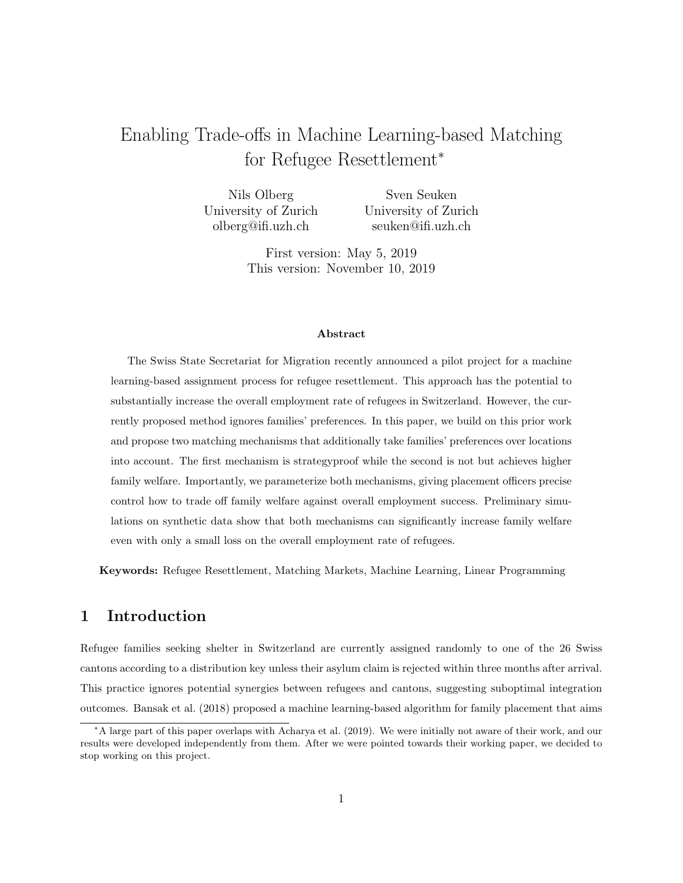# Enabling Trade-offs in Machine Learning-based Matching for Refugee Resettlement<sup>∗</sup>

Nils Olberg University of Zurich olberg@ifi.uzh.ch Sven Seuken University of Zurich seuken@ifi.uzh.ch

> First version: May 5, 2019 This version: November 10, 2019

#### Abstract

The Swiss State Secretariat for Migration recently announced a pilot project for a machine learning-based assignment process for refugee resettlement. This approach has the potential to substantially increase the overall employment rate of refugees in Switzerland. However, the currently proposed method ignores families' preferences. In this paper, we build on this prior work and propose two matching mechanisms that additionally take families' preferences over locations into account. The first mechanism is strategyproof while the second is not but achieves higher family welfare. Importantly, we parameterize both mechanisms, giving placement officers precise control how to trade off family welfare against overall employment success. Preliminary simulations on synthetic data show that both mechanisms can significantly increase family welfare even with only a small loss on the overall employment rate of refugees.

Keywords: Refugee Resettlement, Matching Markets, Machine Learning, Linear Programming

## 1 Introduction

Refugee families seeking shelter in Switzerland are currently assigned randomly to one of the 26 Swiss cantons according to a distribution key unless their asylum claim is rejected within three months after arrival. This practice ignores potential synergies between refugees and cantons, suggesting suboptimal integration outcomes. [Bansak et al.](#page-12-0) [\(2018\)](#page-12-0) proposed a machine learning-based algorithm for family placement that aims

<sup>∗</sup>A large part of this paper overlaps with [Acharya et al.](#page-12-1) [\(2019\)](#page-12-1). We were initially not aware of their work, and our results were developed independently from them. After we were pointed towards their working paper, we decided to stop working on this project.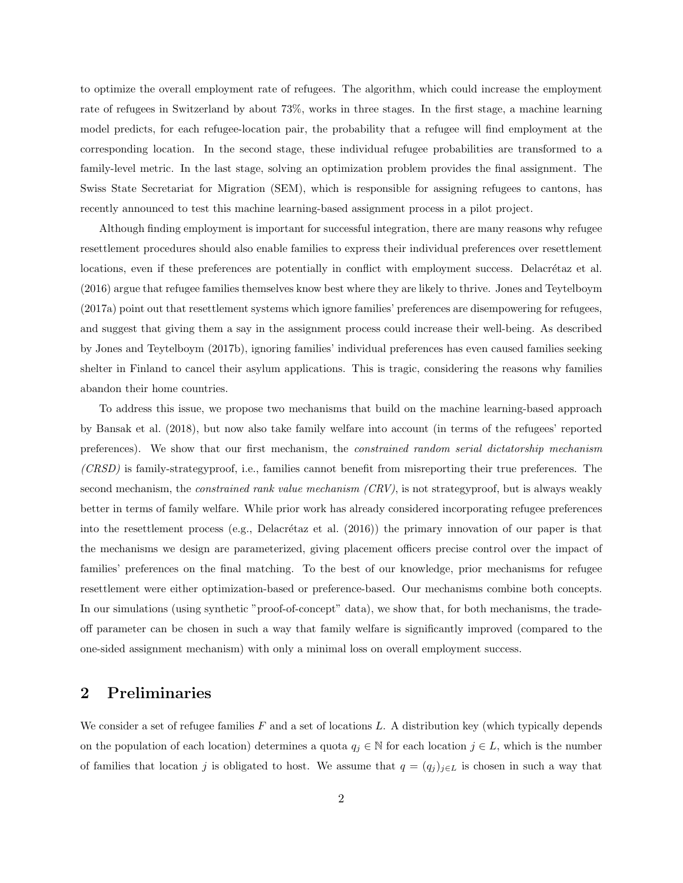to optimize the overall employment rate of refugees. The algorithm, which could increase the employment rate of refugees in Switzerland by about 73%, works in three stages. In the first stage, a machine learning model predicts, for each refugee-location pair, the probability that a refugee will find employment at the corresponding location. In the second stage, these individual refugee probabilities are transformed to a family-level metric. In the last stage, solving an optimization problem provides the final assignment. The Swiss State Secretariat for Migration (SEM), which is responsible for assigning refugees to cantons, has recently announced to test this machine learning-based assignment process in a pilot project.

Although finding employment is important for successful integration, there are many reasons why refugee resettlement procedures should also enable families to express their individual preferences over resettlement locations, even if these preferences are potentially in conflict with employment success. Delacrétaz et al. [\(2016\)](#page-12-2) argue that refugee families themselves know best where they are likely to thrive. [Jones and Teytelboym](#page-12-3) [\(2017a\)](#page-12-3) point out that resettlement systems which ignore families' preferences are disempowering for refugees, and suggest that giving them a say in the assignment process could increase their well-being. As described by [Jones and Teytelboym](#page-12-4) [\(2017b\)](#page-12-4), ignoring families' individual preferences has even caused families seeking shelter in Finland to cancel their asylum applications. This is tragic, considering the reasons why families abandon their home countries.

To address this issue, we propose two mechanisms that build on the machine learning-based approach by [Bansak et al.](#page-12-0) [\(2018\)](#page-12-0), but now also take family welfare into account (in terms of the refugees' reported preferences). We show that our first mechanism, the constrained random serial dictatorship mechanism (CRSD) is family-strategyproof, i.e., families cannot benefit from misreporting their true preferences. The second mechanism, the *constrained rank value mechanism (CRV)*, is not strategyproof, but is always weakly better in terms of family welfare. While prior work has already considered incorporating refugee preferences into the resettlement process (e.g., Delacrétaz et al.  $(2016)$ ) the primary innovation of our paper is that the mechanisms we design are parameterized, giving placement officers precise control over the impact of families' preferences on the final matching. To the best of our knowledge, prior mechanisms for refugee resettlement were either optimization-based or preference-based. Our mechanisms combine both concepts. In our simulations (using synthetic "proof-of-concept" data), we show that, for both mechanisms, the tradeoff parameter can be chosen in such a way that family welfare is significantly improved (compared to the one-sided assignment mechanism) with only a minimal loss on overall employment success.

### <span id="page-1-0"></span>2 Preliminaries

We consider a set of refugee families  $F$  and a set of locations L. A distribution key (which typically depends on the population of each location) determines a quota  $q_j \in \mathbb{N}$  for each location  $j \in L$ , which is the number of families that location j is obligated to host. We assume that  $q = (q_j)_{j \in L}$  is chosen in such a way that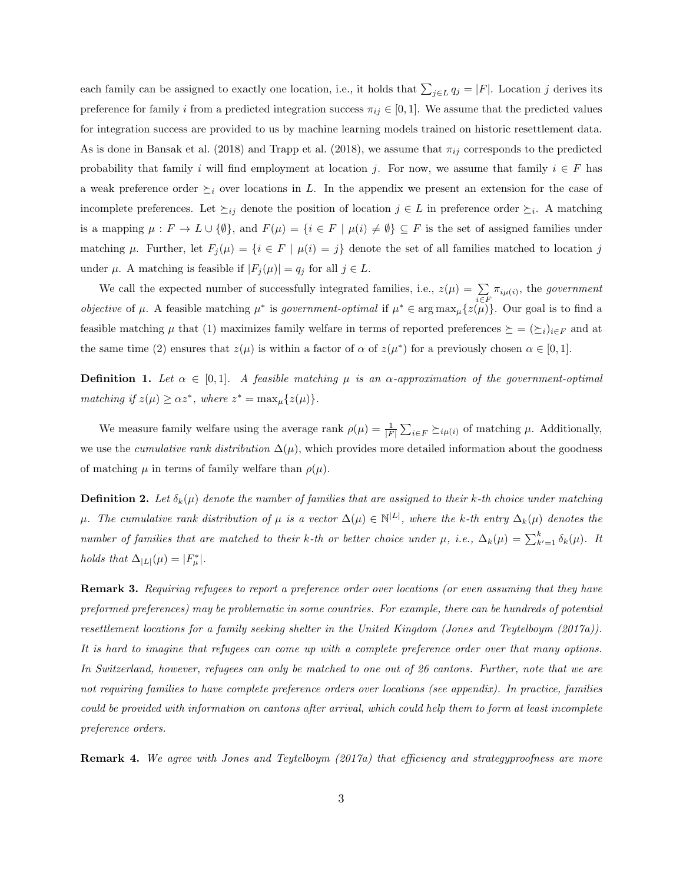each family can be assigned to exactly one location, i.e., it holds that  $\sum_{j\in L} q_j = |F|$ . Location j derives its preference for family i from a predicted integration success  $\pi_{ij} \in [0,1]$ . We assume that the predicted values for integration success are provided to us by machine learning models trained on historic resettlement data. As is done in [Bansak et al.](#page-12-0) [\(2018\)](#page-12-5) and [Trapp et al.](#page-12-5) (2018), we assume that  $\pi_{ij}$  corresponds to the predicted probability that family i will find employment at location j. For now, we assume that family  $i \in F$  has a weak preference order  $\succeq_i$  over locations in L. In the appendix we present an extension for the case of incomplete preferences. Let  $\succeq_{ij}$  denote the position of location  $j \in L$  in preference order  $\succeq_i$ . A matching is a mapping  $\mu : F \to L \cup \{\emptyset\}$ , and  $F(\mu) = \{i \in F \mid \mu(i) \neq \emptyset\} \subseteq F$  is the set of assigned families under matching  $\mu$ . Further, let  $F_j(\mu) = \{i \in F \mid \mu(i) = j\}$  denote the set of all families matched to location j under  $\mu$ . A matching is feasible if  $|F_j(\mu)| = q_j$  for all  $j \in L$ .

We call the expected number of successfully integrated families, i.e.,  $z(\mu) = \sum$  $\sum_{i \in F} \pi_{i\mu(i)}$ , the government *objective* of  $\mu$ . A feasible matching  $\mu^*$  is government-optimal if  $\mu^* \in \arg \max_{\mu} \{z(\mu)\}\)$ . Our goal is to find a feasible matching  $\mu$  that (1) maximizes family welfare in terms of reported preferences  $\succeq = (\succeq_i)_{i\in F}$  and at the same time (2) ensures that  $z(\mu)$  is within a factor of  $\alpha$  of  $z(\mu^*)$  for a previously chosen  $\alpha \in [0,1]$ .

**Definition 1.** Let  $\alpha \in [0,1]$ . A feasible matching  $\mu$  is an  $\alpha$ -approximation of the government-optimal matching if  $z(\mu) \geq \alpha z^*$ , where  $z^* = \max_{\mu} \{z(\mu)\}.$ 

We measure family welfare using the average rank  $\rho(\mu) = \frac{1}{|F|} \sum_{i \in F} \sum_{i} \mu(i)$  of matching  $\mu$ . Additionally, we use the *cumulative rank distribution*  $\Delta(\mu)$ , which provides more detailed information about the goodness of matching  $\mu$  in terms of family welfare than  $\rho(\mu)$ .

**Definition 2.** Let  $\delta_k(\mu)$  denote the number of families that are assigned to their k-th choice under matching  $\mu$ . The cumulative rank distribution of  $\mu$  is a vector  $\Delta(\mu) \in \mathbb{N}^{|L|}$ , where the k-th entry  $\Delta_k(\mu)$  denotes the number of families that are matched to their k-th or better choice under  $\mu$ , i.e.,  $\Delta_k(\mu) = \sum_{k'=1}^k \delta_k(\mu)$ . It holds that  $\Delta_{|L|}(\mu) = |F^*_{\mu}|.$ 

Remark 3. Requiring refugees to report a preference order over locations (or even assuming that they have preformed preferences) may be problematic in some countries. For example, there can be hundreds of potential resettlement locations for a family seeking shelter in the United Kingdom [\(Jones and Teytelboym](#page-12-3) [\(2017a\)](#page-12-3)). It is hard to imagine that refugees can come up with a complete preference order over that many options. In Switzerland, however, refugees can only be matched to one out of 26 cantons. Further, note that we are not requiring families to have complete preference orders over locations (see appendix). In practice, families could be provided with information on cantons after arrival, which could help them to form at least incomplete preference orders.

**Remark 4.** We agree with [Jones and Teytelboym](#page-12-3) [\(2017a\)](#page-12-3) that efficiency and strategyproofness are more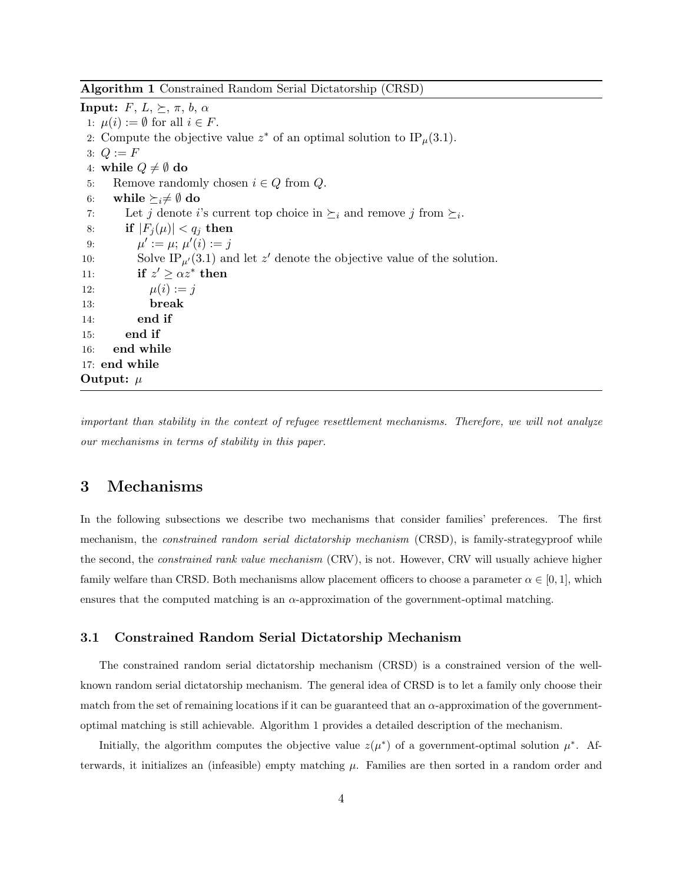<span id="page-3-0"></span>Algorithm 1 Constrained Random Serial Dictatorship (CRSD)

<span id="page-3-3"></span><span id="page-3-2"></span><span id="page-3-1"></span>**Input:**  $F, L, \succeq, \pi, b, \alpha$ 1:  $\mu(i) := \emptyset$  for all  $i \in F$ . 2: Compute the objective value  $z^*$  of an optimal solution to IP<sub>µ</sub>[\(3.1\)](#page-4-0). 3:  $Q := F$ 4: while  $Q \neq \emptyset$  do 5: Remove randomly chosen  $i \in Q$  from  $Q$ . 6: while  $\succeq_i \neq \emptyset$  do 7: Let j denote i's current top choice in  $\succeq_i$  and remove j from  $\succeq_i$ . 8: if  $|F_i(\mu)| < q_i$  then 9:  $\mu' := \mu; \mu'(i) := j$ 10: Solve IP<sub> $\mu$ </sub><sup> $(3.1)$ </sup> and let z<sup> $\prime$ </sup> denote the objective value of the solution. 11: if  $z' \geq \alpha z^*$  then 12:  $\mu(i) := j$ 13: break 14: end if 15: end if 16: end while 17: end while Output:  $\mu$ 

important than stability in the context of refugee resettlement mechanisms. Therefore, we will not analyze our mechanisms in terms of stability in this paper.

### 3 Mechanisms

In the following subsections we describe two mechanisms that consider families' preferences. The first mechanism, the *constrained random serial dictatorship mechanism* (CRSD), is family-strategyproof while the second, the *constrained rank value mechanism* (CRV), is not. However, CRV will usually achieve higher family welfare than CRSD. Both mechanisms allow placement officers to choose a parameter  $\alpha \in [0,1]$ , which ensures that the computed matching is an  $\alpha$ -approximation of the government-optimal matching.

### 3.1 Constrained Random Serial Dictatorship Mechanism

The constrained random serial dictatorship mechanism (CRSD) is a constrained version of the wellknown random serial dictatorship mechanism. The general idea of CRSD is to let a family only choose their match from the set of remaining locations if it can be guaranteed that an  $\alpha$ -approximation of the governmentoptimal matching is still achievable. Algorithm [1](#page-3-0) provides a detailed description of the mechanism.

Initially, the algorithm computes the objective value  $z(\mu^*)$  of a government-optimal solution  $\mu^*$ . Afterwards, it initializes an (infeasible) empty matching  $\mu$ . Families are then sorted in a random order and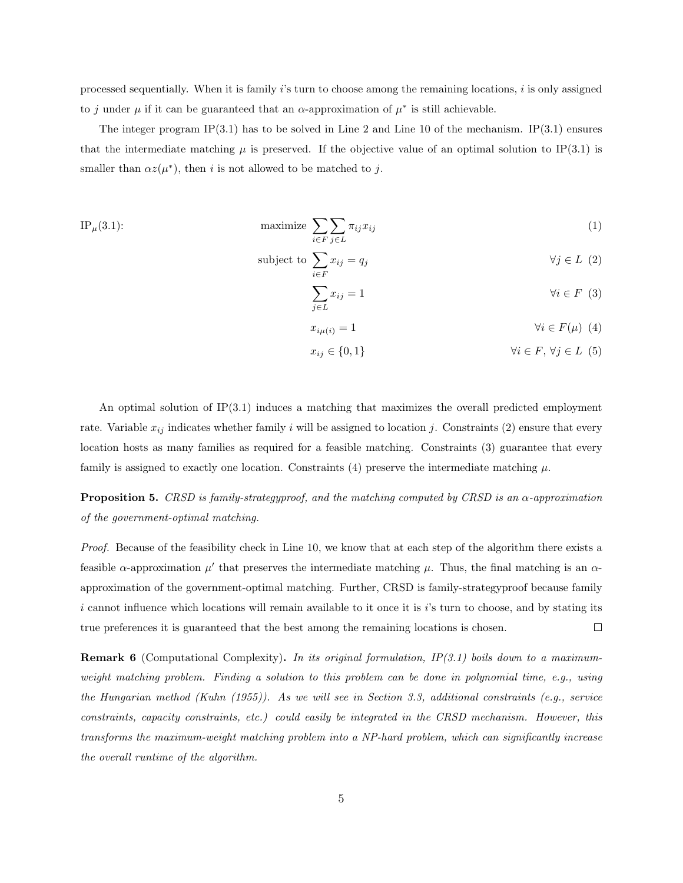processed sequentially. When it is family  $i$ 's turn to choose among the remaining locations,  $i$  is only assigned to j under  $\mu$  if it can be guaranteed that an  $\alpha$ -approximation of  $\mu^*$  is still achievable.

The integer program IP[\(3.1\)](#page-4-0) has to be solved in Line [2](#page-3-1) and Line [10](#page-3-2) of the mechanism. IP(3.1) ensures that the intermediate matching  $\mu$  is preserved. If the objective value of an optimal solution to IP[\(3.1\)](#page-4-0) is smaller than  $\alpha z(\mu^*)$ , then *i* is not allowed to be matched to *j*.

IP<sub>$$
\mu
$$</sub>(3.1):  
maximize  $\sum_{i \in F} \sum_{j \in L} \pi_{ij} x_{ij}$  (1)

subject to 
$$
\sum_{i \in F} x_{ij} = q_j \qquad \forall j \in L \tag{2}
$$

<span id="page-4-2"></span><span id="page-4-1"></span>
$$
\sum_{j \in L} x_{ij} = 1 \qquad \qquad \forall i \in F \tag{3}
$$

<span id="page-4-3"></span><span id="page-4-0"></span>
$$
x_{i\mu(i)} = 1 \qquad \qquad \forall i \in F(\mu) \tag{4}
$$

$$
x_{ij} \in \{0, 1\} \qquad \qquad \forall i \in F, \forall j \in L \tag{5}
$$

An optimal solution of IP[\(3.1\)](#page-4-0) induces a matching that maximizes the overall predicted employment rate. Variable  $x_{ij}$  indicates whether family i will be assigned to location j. Constraints [\(2\)](#page-4-1) ensure that every location hosts as many families as required for a feasible matching. Constraints [\(3\)](#page-4-2) guarantee that every family is assigned to exactly one location. Constraints [\(4\)](#page-4-3) preserve the intermediate matching  $\mu$ .

**Proposition 5.** CRSD is family-strategyproof, and the matching computed by CRSD is an  $\alpha$ -approximation of the government-optimal matching.

Proof. Because of the feasibility check in Line [10,](#page-3-2) we know that at each step of the algorithm there exists a feasible  $\alpha$ -approximation  $\mu'$  that preserves the intermediate matching  $\mu$ . Thus, the final matching is an  $\alpha$ approximation of the government-optimal matching. Further, CRSD is family-strategyproof because family  $i$  cannot influence which locations will remain available to it once it is  $i$ 's turn to choose, and by stating its true preferences it is guaranteed that the best among the remaining locations is chosen.  $\Box$ 

**Remark 6** (Computational Complexity). In its original formulation,  $IP(3.1)$  $IP(3.1)$  boils down to a maximumweight matching problem. Finding a solution to this problem can be done in polynomial time, e.g., using the Hungarian method [\(Kuhn](#page-12-6) [\(1955\)](#page-12-6)). As we will see in Section [3.3,](#page-8-0) additional constraints (e.g., service constraints, capacity constraints, etc.) could easily be integrated in the CRSD mechanism. However, this transforms the maximum-weight matching problem into a NP-hard problem, which can significantly increase the overall runtime of the algorithm.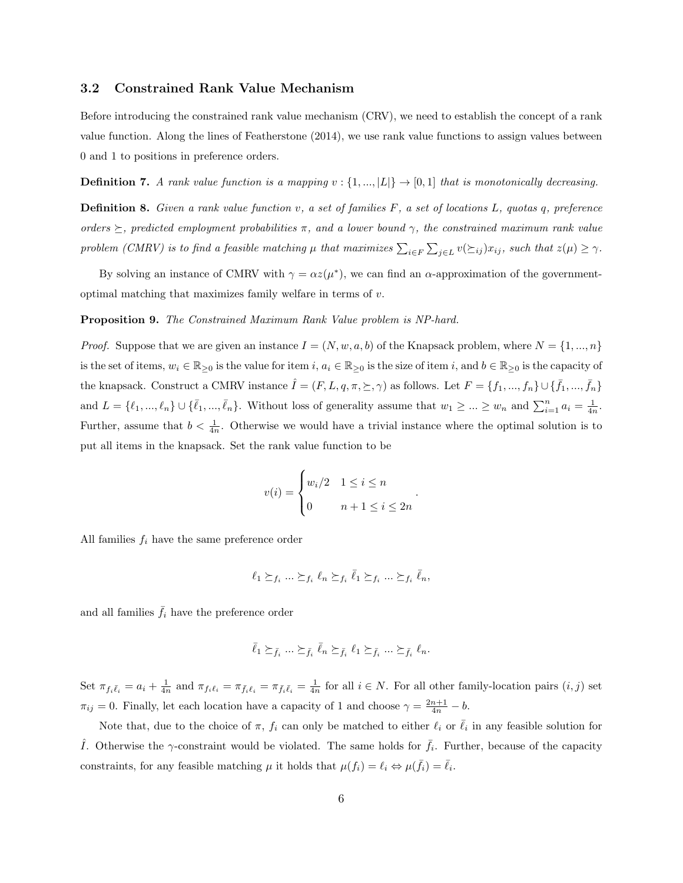### 3.2 Constrained Rank Value Mechanism

Before introducing the constrained rank value mechanism (CRV), we need to establish the concept of a rank value function. Along the lines of [Featherstone](#page-12-7) [\(2014\)](#page-12-7), we use rank value functions to assign values between 0 and 1 to positions in preference orders.

**Definition 7.** A rank value function is a mapping  $v : \{1, ..., |L|\} \rightarrow [0, 1]$  that is monotonically decreasing.

Definition 8. Given a rank value function v, a set of families F, a set of locations L, quotas q, preference orders  $\succeq$ , predicted employment probabilities π, and a lower bound  $\gamma$ , the constrained maximum rank value problem (CMRV) is to find a feasible matching  $\mu$  that maximizes  $\sum_{i\in F}\sum_{j\in L}v(\succeq_{ij})x_{ij}$ , such that  $z(\mu)\geq \gamma$ .

By solving an instance of CMRV with  $\gamma = \alpha z(\mu^*)$ , we can find an  $\alpha$ -approximation of the governmentoptimal matching that maximizes family welfare in terms of  $v$ .

#### Proposition 9. The Constrained Maximum Rank Value problem is NP-hard.

*Proof.* Suppose that we are given an instance  $I = (N, w, a, b)$  of the Knapsack problem, where  $N = \{1, ..., n\}$ is the set of items,  $w_i \in \mathbb{R}_{\geq 0}$  is the value for item  $i, a_i \in \mathbb{R}_{\geq 0}$  is the size of item  $i$ , and  $b \in \mathbb{R}_{\geq 0}$  is the capacity of the knapsack. Construct a CMRV instance  $\hat{I} = (F, L, q, \pi, \succeq, \gamma)$  as follows. Let  $F = \{f_1, ..., f_n\} \cup \{\bar{f}_1, ..., \bar{f}_n\}$ and  $L = \{\ell_1, ..., \ell_n\} \cup \{\bar{\ell}_1, ..., \bar{\ell}_n\}$ . Without loss of generality assume that  $w_1 \geq ... \geq w_n$  and  $\sum_{i=1}^n a_i = \frac{1}{4n}$ . Further, assume that  $b < \frac{1}{4n}$ . Otherwise we would have a trivial instance where the optimal solution is to put all items in the knapsack. Set the rank value function to be

$$
v(i) = \begin{cases} w_i/2 & 1 \le i \le n \\ 0 & n+1 \le i \le 2n \end{cases}
$$

.

All families  $f_i$  have the same preference order

$$
\ell_1 \succeq_{f_i} \ldots \succeq_{f_i} \ell_n \succeq_{f_i} \bar{\ell}_1 \succeq_{f_i} \ldots \succeq_{f_i} \bar{\ell}_n,
$$

and all families  $\bar{f}_i$  have the preference order

$$
\bar{\ell}_1 \succeq_{\bar{f}_i} \ldots \succeq_{\bar{f}_i} \bar{\ell}_n \succeq_{\bar{f}_i} \ell_1 \succeq_{\bar{f}_i} \ldots \succeq_{\bar{f}_i} \ell_n.
$$

Set  $\pi_{f_i\bar{\ell}_i} = a_i + \frac{1}{4n}$  and  $\pi_{f_i\ell_i} = \pi_{\bar{f}_i\bar{\ell}_i} = \pi_{\bar{f}_i\bar{\ell}_i} = \frac{1}{4n}$  for all  $i \in N$ . For all other family-location pairs  $(i, j)$  set  $\pi_{ij} = 0$ . Finally, let each location have a capacity of 1 and choose  $\gamma = \frac{2n+1}{4n} - b$ .

Note that, due to the choice of  $\pi$ ,  $f_i$  can only be matched to either  $\ell_i$  or  $\overline{\ell}_i$  in any feasible solution for  $\hat{I}$ . Otherwise the  $\gamma$ -constraint would be violated. The same holds for  $\bar{f}_i$ . Further, because of the capacity constraints, for any feasible matching  $\mu$  it holds that  $\mu(f_i) = \ell_i \Leftrightarrow \mu(\bar{f}_i) = \bar{\ell}_i$ .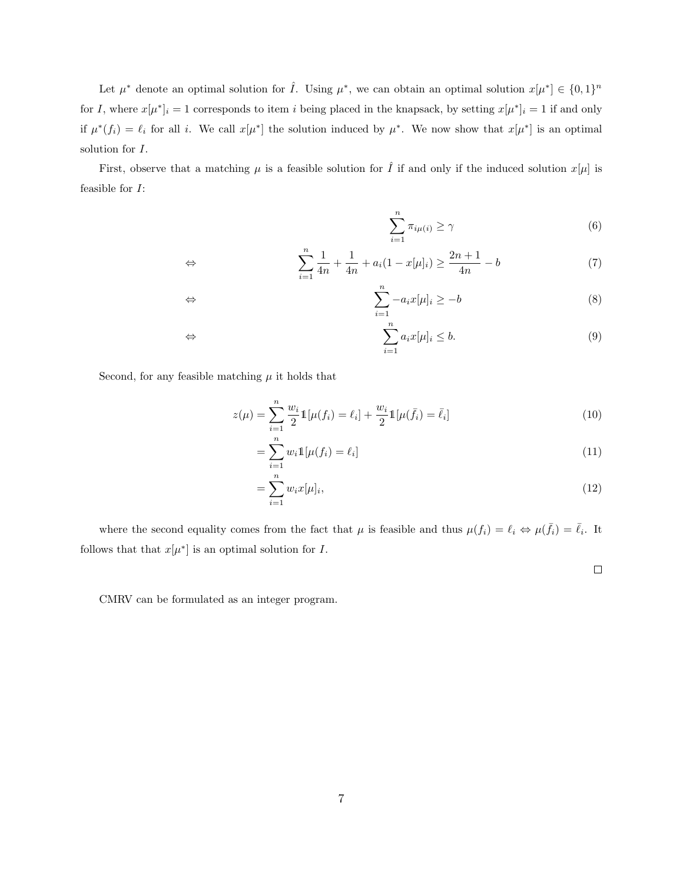Let  $\mu^*$  denote an optimal solution for  $\hat{I}$ . Using  $\mu^*$ , we can obtain an optimal solution  $x[\mu^*] \in \{0,1\}^n$ for I, where  $x[\mu^*]_i = 1$  corresponds to item i being placed in the knapsack, by setting  $x[\mu^*]_i = 1$  if and only if  $\mu^*(f_i) = \ell_i$  for all i. We call  $x[\mu^*]$  the solution induced by  $\mu^*$ . We now show that  $x[\mu^*]$  is an optimal solution for I.

First, observe that a matching  $\mu$  is a feasible solution for  $\hat{I}$  if and only if the induced solution  $x[\mu]$  is feasible for I:

$$
\sum_{i=1}^{n} \pi_{i\mu(i)} \ge \gamma \tag{6}
$$

$$
\Leftrightarrow \qquad \qquad \sum_{i=1}^{n} \frac{1}{4n} + \frac{1}{4n} + a_i (1 - x[\mu]_i) \ge \frac{2n+1}{4n} - b \tag{7}
$$

$$
\Leftrightarrow \qquad \qquad \sum_{i=1}^{n} -a_i x[\mu]_i \ge -b \tag{8}
$$

$$
\Leftrightarrow \qquad \qquad \sum_{i=1}^{n} a_i x[\mu]_i \le b. \tag{9}
$$

Second, for any feasible matching  $\mu$  it holds that

$$
z(\mu) = \sum_{i=1}^{n} \frac{w_i}{2} 1[\mu(f_i) = \ell_i] + \frac{w_i}{2} 1[\mu(\bar{f}_i) = \bar{\ell}_i]
$$
 (10)

$$
=\sum_{i=1}^{n} w_i \mathbb{1}[\mu(f_i) = \ell_i]
$$
\n(11)

$$
=\sum_{i=1}^{n} w_i x[\mu]_i,
$$
\n(12)

where the second equality comes from the fact that  $\mu$  is feasible and thus  $\mu(f_i) = \ell_i \Leftrightarrow \mu(\bar{f}_i) = \bar{\ell}_i$ . It follows that that  $x[\mu^*]$  is an optimal solution for I.

 $\Box$ 

CMRV can be formulated as an integer program.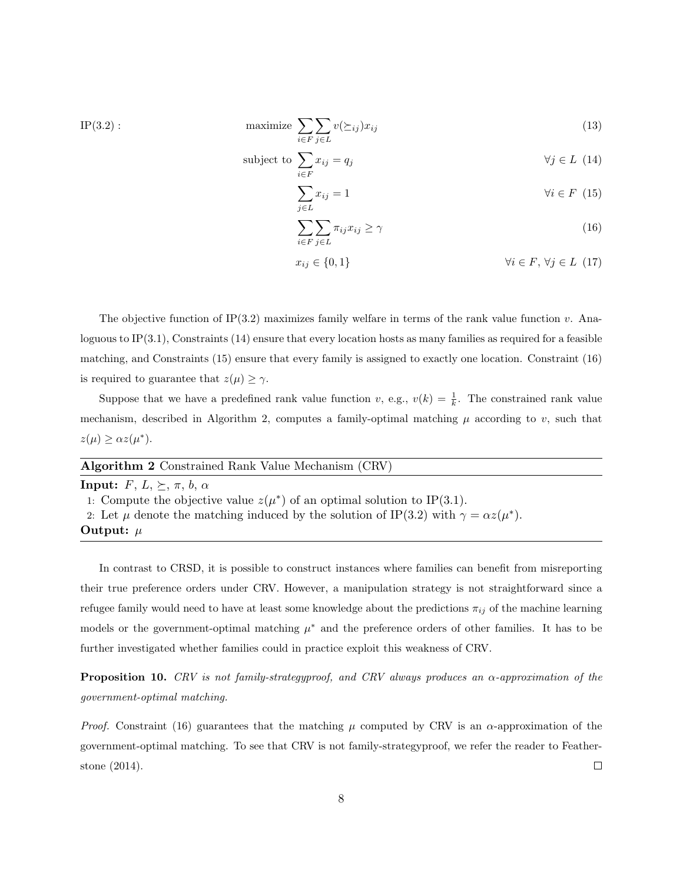$$
\text{maximize } \sum_{i \in F} \sum_{j \in L} v(\succeq_{ij}) x_{ij} \tag{13}
$$

subject to 
$$
\sum_{i \in F} x_{ij} = q_j \qquad \forall j \in L \tag{14}
$$

<span id="page-7-3"></span><span id="page-7-2"></span><span id="page-7-1"></span>
$$
\sum_{j \in L} x_{ij} = 1 \qquad \qquad \forall i \in F \tag{15}
$$

<span id="page-7-0"></span>
$$
\sum_{i \in F} \sum_{j \in L} \pi_{ij} x_{ij} \ge \gamma \tag{16}
$$

$$
x_{ij} \in \{0, 1\} \qquad \qquad \forall i \in F, \forall j \in L \tag{17}
$$

The objective function of IP[\(3.2\)](#page-7-0) maximizes family welfare in terms of the rank value function  $v$ . Analoguous to IP $(3.1)$ , Constraints [\(14\)](#page-7-1) ensure that every location hosts as many families as required for a feasible matching, and Constraints [\(15\)](#page-7-2) ensure that every family is assigned to exactly one location. Constraint [\(16\)](#page-7-3) is required to guarantee that  $z(\mu) \geq \gamma$ .

Suppose that we have a predefined rank value function v, e.g.,  $v(k) = \frac{1}{k}$ . The constrained rank value mechanism, described in Algorithm [2,](#page-7-4) computes a family-optimal matching  $\mu$  according to v, such that  $z(\mu) \geq \alpha z(\mu^*).$ 

<span id="page-7-4"></span>

| <b>Algorithm 2</b> Constrained Rank Value Mechanism (CRV)                    |
|------------------------------------------------------------------------------|
| <b>Input:</b> $F, L, \succeq, \pi, b, \alpha$                                |
| 1: Compute the objective value $z(\mu^*)$ of an optimal solution to IP(3.1). |

2: Let  $\mu$  denote the matching induced by the solution of IP[\(3.2\)](#page-7-0) with  $\gamma = \alpha z(\mu^*)$ . Output:  $\mu$ 

 $IP(3.2)$  $IP(3.2)$ :

In contrast to CRSD, it is possible to construct instances where families can benefit from misreporting their true preference orders under CRV. However, a manipulation strategy is not straightforward since a refugee family would need to have at least some knowledge about the predictions  $\pi_{ij}$  of the machine learning models or the government-optimal matching  $\mu^*$  and the preference orders of other families. It has to be further investigated whether families could in practice exploit this weakness of CRV.

**Proposition 10.** CRV is not family-strategyproof, and CRV always produces an  $\alpha$ -approximation of the government-optimal matching.

*Proof.* Constraint [\(16\)](#page-7-3) guarantees that the matching  $\mu$  computed by CRV is an  $\alpha$ -approximation of the government-optimal matching. To see that CRV is not family-strategyproof, we refer the reader to [Feather](#page-12-7)[stone](#page-12-7) [\(2014\)](#page-12-7).  $\Box$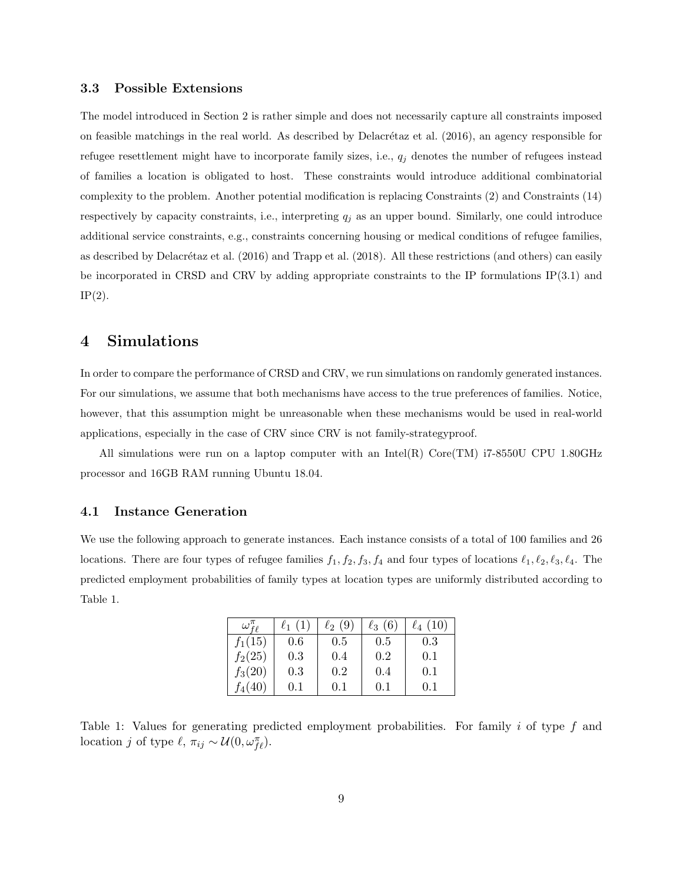### <span id="page-8-0"></span>3.3 Possible Extensions

The model introduced in Section [2](#page-1-0) is rather simple and does not necessarily capture all constraints imposed on feasible matchings in the real world. As described by Delacrétaz et al. [\(2016\)](#page-12-2), an agency responsible for refugee resettlement might have to incorporate family sizes, i.e.,  $q_j$  denotes the number of refugees instead of families a location is obligated to host. These constraints would introduce additional combinatorial complexity to the problem. Another potential modification is replacing Constraints [\(2\)](#page-4-1) and Constraints [\(14\)](#page-7-1) respectively by capacity constraints, i.e., interpreting  $q_j$  as an upper bound. Similarly, one could introduce additional service constraints, e.g., constraints concerning housing or medical conditions of refugee families, as described by Delacrétaz et al.  $(2016)$  and [Trapp et al.](#page-12-5)  $(2018)$ . All these restrictions (and others) can easily be incorporated in CRSD and CRV by adding appropriate constraints to the IP formulations IP[\(3.1\)](#page-4-0) and  $IP(2)$  $IP(2)$ .

### 4 Simulations

In order to compare the performance of CRSD and CRV, we run simulations on randomly generated instances. For our simulations, we assume that both mechanisms have access to the true preferences of families. Notice, however, that this assumption might be unreasonable when these mechanisms would be used in real-world applications, especially in the case of CRV since CRV is not family-strategyproof.

All simulations were run on a laptop computer with an Intel(R) Core(TM)  $i7-8550U$  CPU 1.80GHz processor and 16GB RAM running Ubuntu 18.04.

### <span id="page-8-2"></span>4.1 Instance Generation

<span id="page-8-1"></span>We use the following approach to generate instances. Each instance consists of a total of 100 families and 26 locations. There are four types of refugee families  $f_1, f_2, f_3, f_4$  and four types of locations  $\ell_1, \ell_2, \ell_3, \ell_4$ . The predicted employment probabilities of family types at location types are uniformly distributed according to Table [1.](#page-8-1)

| $\omega_{f\ell}^n$ | $\ell_1(1)$ | $\ell_2(9)$ | $\ell_3(6)$ | $\ell_4(10)$ |
|--------------------|-------------|-------------|-------------|--------------|
| $f_1(15)$          | 0.6         | 0.5         | 0.5         | 0.3          |
| $f_2(25)$          | 0.3         | 0.4         | 0.2         | 0.1          |
| $f_3(20)$          | 0.3         | 0.2         | 0.4         | 0.1          |
| $f_4(40)$          | $0.1\,$     | 0.1         | (0.1)       | 0.1          |

Table 1: Values for generating predicted employment probabilities. For family  $i$  of type  $f$  and location j of type  $\ell, \pi_{ij} \sim \mathcal{U}(0, \omega_{fe}^{\pi}).$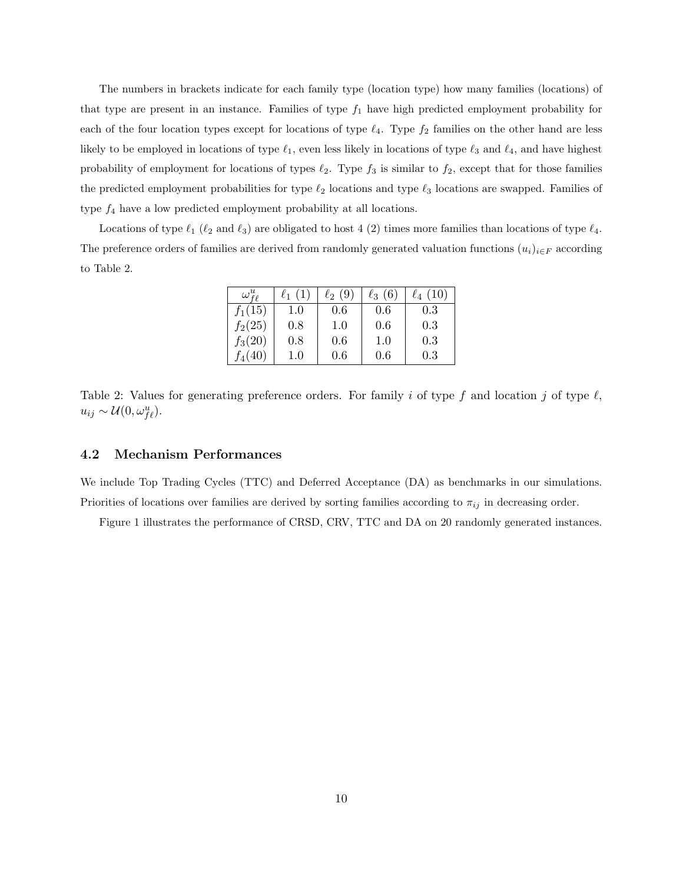The numbers in brackets indicate for each family type (location type) how many families (locations) of that type are present in an instance. Families of type  $f_1$  have high predicted employment probability for each of the four location types except for locations of type  $\ell_4$ . Type  $f_2$  families on the other hand are less likely to be employed in locations of type  $\ell_1$ , even less likely in locations of type  $\ell_3$  and  $\ell_4$ , and have highest probability of employment for locations of types  $\ell_2$ . Type  $f_3$  is similar to  $f_2$ , except that for those families the predicted employment probabilities for type  $\ell_2$  locations and type  $\ell_3$  locations are swapped. Families of type  $f_4$  have a low predicted employment probability at all locations.

<span id="page-9-0"></span>Locations of type  $\ell_1$  ( $\ell_2$  and  $\ell_3$ ) are obligated to host 4 (2) times more families than locations of type  $\ell_4$ . The preference orders of families are derived from randomly generated valuation functions  $(u_i)_{i\in F}$  according to Table [2.](#page-9-0)

| $\omega^u_{f\ell}$ | $\ell_1(1)$ | $\ell_2(9)$ | $\ell_3(6)$ | $\ell_4(10)$ |
|--------------------|-------------|-------------|-------------|--------------|
| $f_1(15)$          | 1.0         | 0.6         | 0.6         | 0.3          |
| $f_2(25)$          | 0.8         | 1.0         | 0.6         | 0.3          |
| $f_3(20)$          | 0.8         | 0.6         | 1.0         | 0.3          |
| $f_4(40)$          | $1.0\,$     | 0.6         | 0.6         | 0.3          |

Table 2: Values for generating preference orders. For family i of type f and location j of type  $\ell$ ,  $u_{ij} \sim \mathcal{U}(0, \omega_{f\ell}^u).$ 

### 4.2 Mechanism Performances

We include Top Trading Cycles (TTC) and Deferred Acceptance (DA) as benchmarks in our simulations. Priorities of locations over families are derived by sorting families according to  $\pi_{ij}$  in decreasing order.

Figure [1](#page-10-0) illustrates the performance of CRSD, CRV, TTC and DA on 20 randomly generated instances.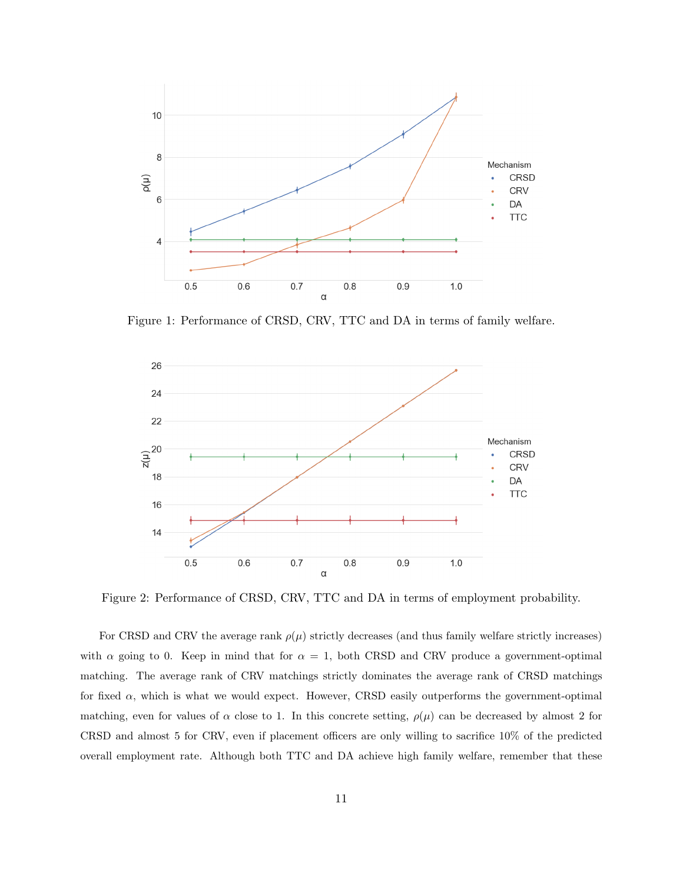<span id="page-10-0"></span>

Figure 1: Performance of CRSD, CRV, TTC and DA in terms of family welfare.

<span id="page-10-1"></span>

Figure 2: Performance of CRSD, CRV, TTC and DA in terms of employment probability.

For CRSD and CRV the average rank  $\rho(\mu)$  strictly decreases (and thus family welfare strictly increases) with  $\alpha$  going to 0. Keep in mind that for  $\alpha = 1$ , both CRSD and CRV produce a government-optimal matching. The average rank of CRV matchings strictly dominates the average rank of CRSD matchings for fixed  $\alpha$ , which is what we would expect. However, CRSD easily outperforms the government-optimal matching, even for values of  $\alpha$  close to 1. In this concrete setting,  $\rho(\mu)$  can be decreased by almost 2 for CRSD and almost 5 for CRV, even if placement officers are only willing to sacrifice 10% of the predicted overall employment rate. Although both TTC and DA achieve high family welfare, remember that these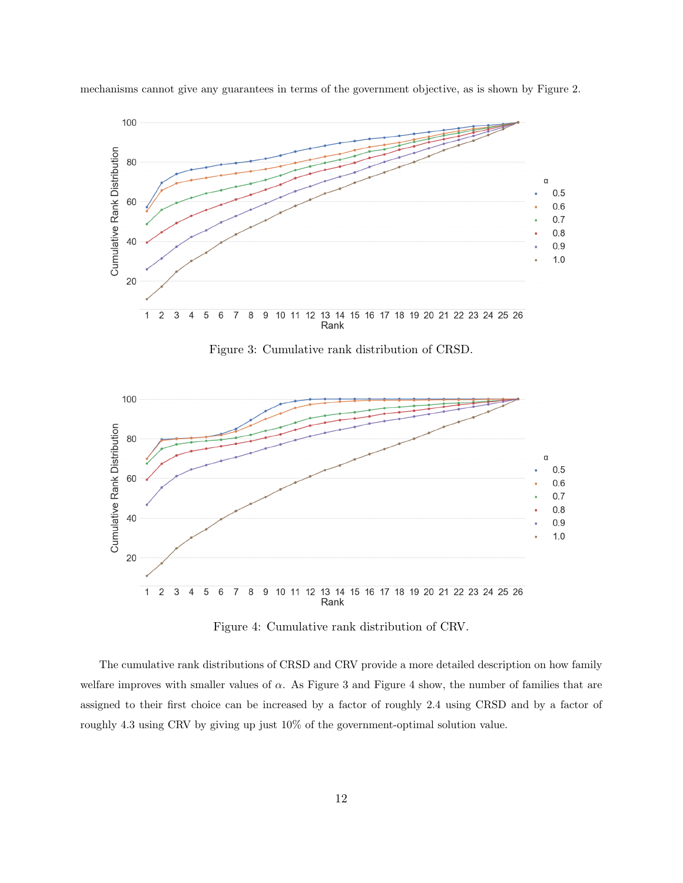<span id="page-11-0"></span>

mechanisms cannot give any guarantees in terms of the government objective, as is shown by Figure [2.](#page-10-1)

Figure 3: Cumulative rank distribution of CRSD.

<span id="page-11-1"></span>

Figure 4: Cumulative rank distribution of CRV.

The cumulative rank distributions of CRSD and CRV provide a more detailed description on how family welfare improves with smaller values of  $\alpha$ . As Figure [3](#page-11-0) and Figure [4](#page-11-1) show, the number of families that are assigned to their first choice can be increased by a factor of roughly 2.4 using CRSD and by a factor of roughly 4.3 using CRV by giving up just 10% of the government-optimal solution value.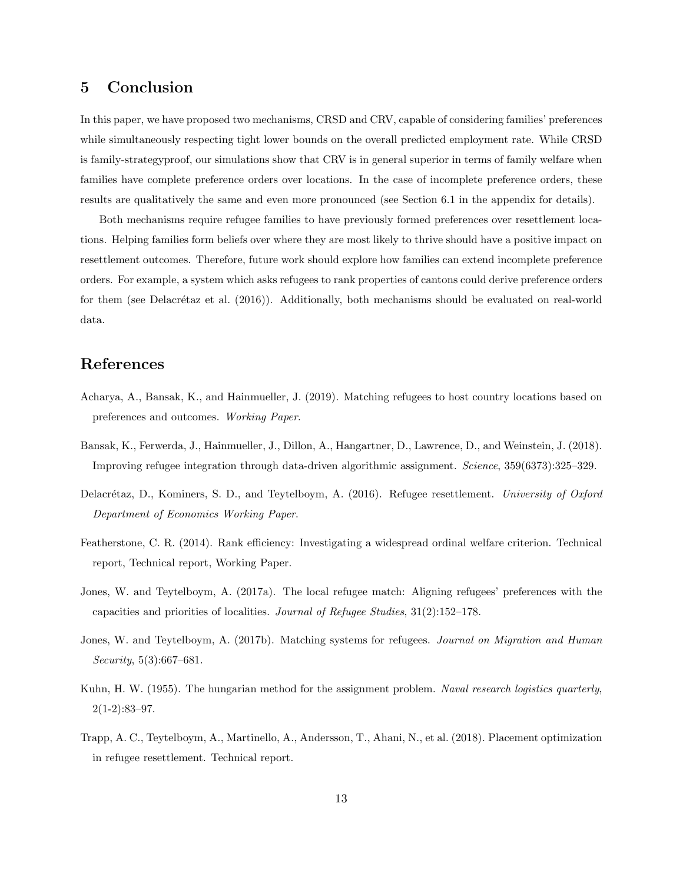# 5 Conclusion

In this paper, we have proposed two mechanisms, CRSD and CRV, capable of considering families' preferences while simultaneously respecting tight lower bounds on the overall predicted employment rate. While CRSD is family-strategyproof, our simulations show that CRV is in general superior in terms of family welfare when families have complete preference orders over locations. In the case of incomplete preference orders, these results are qualitatively the same and even more pronounced (see Section [6.1](#page-13-0) in the appendix for details).

Both mechanisms require refugee families to have previously formed preferences over resettlement locations. Helping families form beliefs over where they are most likely to thrive should have a positive impact on resettlement outcomes. Therefore, future work should explore how families can extend incomplete preference orders. For example, a system which asks refugees to rank properties of cantons could derive preference orders for them (see Delacrétaz et al.  $(2016)$ ). Additionally, both mechanisms should be evaluated on real-world data.

# References

- <span id="page-12-1"></span>Acharya, A., Bansak, K., and Hainmueller, J. (2019). Matching refugees to host country locations based on preferences and outcomes. Working Paper.
- <span id="page-12-0"></span>Bansak, K., Ferwerda, J., Hainmueller, J., Dillon, A., Hangartner, D., Lawrence, D., and Weinstein, J. (2018). Improving refugee integration through data-driven algorithmic assignment. Science, 359(6373):325–329.
- <span id="page-12-2"></span>Delacrétaz, D., Kominers, S. D., and Teytelboym, A. (2016). Refugee resettlement. University of Oxford Department of Economics Working Paper.
- <span id="page-12-7"></span>Featherstone, C. R. (2014). Rank efficiency: Investigating a widespread ordinal welfare criterion. Technical report, Technical report, Working Paper.
- <span id="page-12-3"></span>Jones, W. and Teytelboym, A. (2017a). The local refugee match: Aligning refugees' preferences with the capacities and priorities of localities. Journal of Refugee Studies, 31(2):152–178.
- <span id="page-12-4"></span>Jones, W. and Teytelboym, A. (2017b). Matching systems for refugees. Journal on Migration and Human Security, 5(3):667–681.
- <span id="page-12-6"></span>Kuhn, H. W. (1955). The hungarian method for the assignment problem. Naval research logistics quarterly,  $2(1-2):83-97.$
- <span id="page-12-5"></span>Trapp, A. C., Teytelboym, A., Martinello, A., Andersson, T., Ahani, N., et al. (2018). Placement optimization in refugee resettlement. Technical report.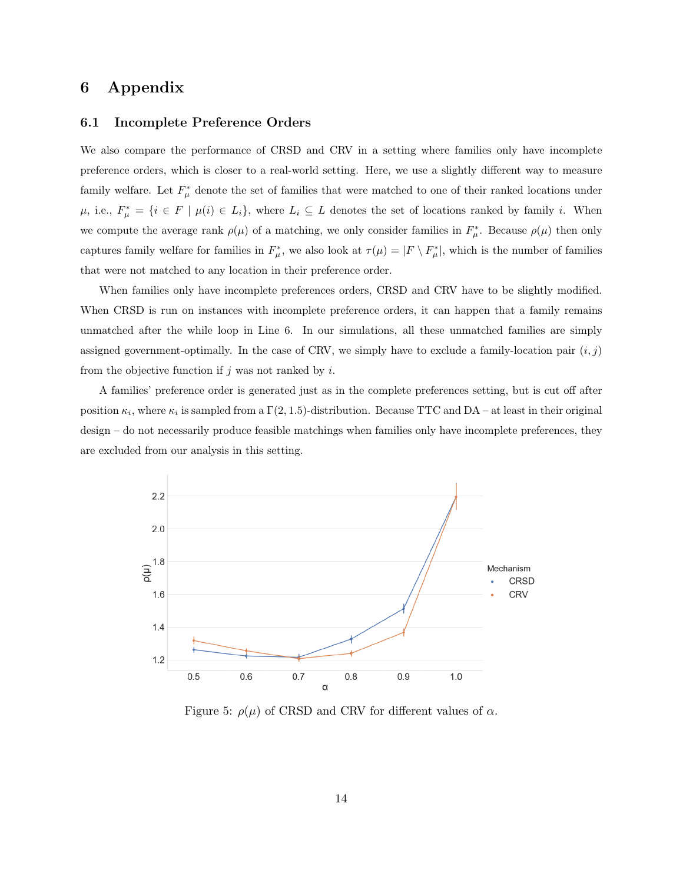# 6 Appendix

### <span id="page-13-0"></span>6.1 Incomplete Preference Orders

We also compare the performance of CRSD and CRV in a setting where families only have incomplete preference orders, which is closer to a real-world setting. Here, we use a slightly different way to measure family welfare. Let  $F^*_{\mu}$  denote the set of families that were matched to one of their ranked locations under  $\mu$ , i.e.,  $F^*_{\mu} = \{i \in F \mid \mu(i) \in L_i\}$ , where  $L_i \subseteq L$  denotes the set of locations ranked by family i. When we compute the average rank  $\rho(\mu)$  of a matching, we only consider families in  $F^*_{\mu}$ . Because  $\rho(\mu)$  then only captures family welfare for families in  $F^*_{\mu}$ , we also look at  $\tau(\mu) = |F \setminus F^*_{\mu}|$ , which is the number of families that were not matched to any location in their preference order.

When families only have incomplete preferences orders, CRSD and CRV have to be slightly modified. When CRSD is run on instances with incomplete preference orders, it can happen that a family remains unmatched after the while loop in Line [6.](#page-3-3) In our simulations, all these unmatched families are simply assigned government-optimally. In the case of CRV, we simply have to exclude a family-location pair  $(i, j)$ from the objective function if  $j$  was not ranked by  $i$ .

A families' preference order is generated just as in the complete preferences setting, but is cut off after position  $\kappa_i$ , where  $\kappa_i$  is sampled from a  $\Gamma(2, 1.5)$ -distribution. Because TTC and DA – at least in their original design – do not necessarily produce feasible matchings when families only have incomplete preferences, they are excluded from our analysis in this setting.



Figure 5:  $\rho(\mu)$  of CRSD and CRV for different values of  $\alpha$ .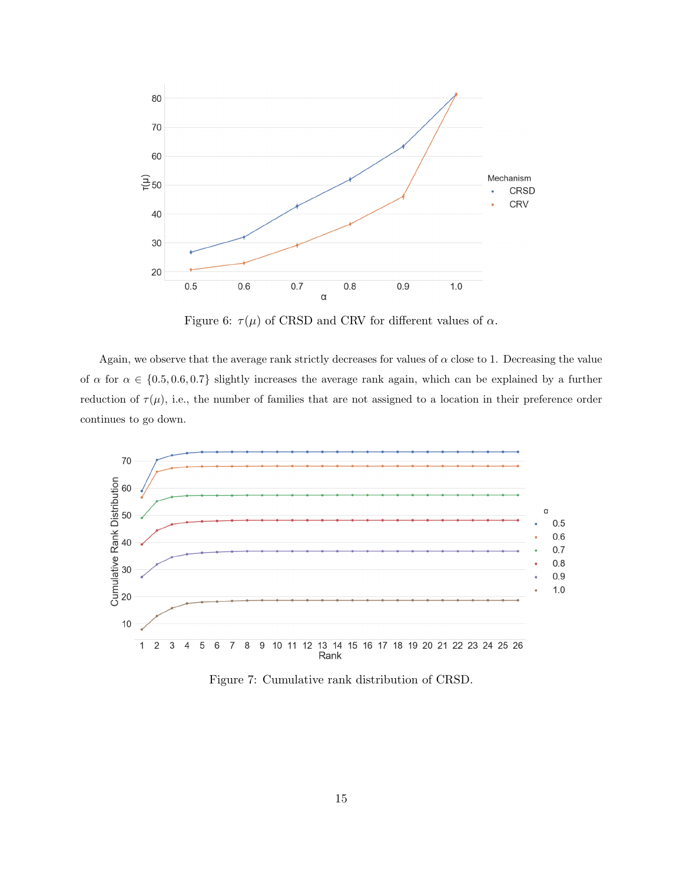

Figure 6:  $\tau(\mu)$  of CRSD and CRV for different values of  $\alpha$ .

Again, we observe that the average rank strictly decreases for values of  $\alpha$  close to 1. Decreasing the value of  $\alpha$  for  $\alpha \in \{0.5, 0.6, 0.7\}$  slightly increases the average rank again, which can be explained by a further reduction of  $\tau(\mu)$ , i.e., the number of families that are not assigned to a location in their preference order continues to go down.



Figure 7: Cumulative rank distribution of CRSD.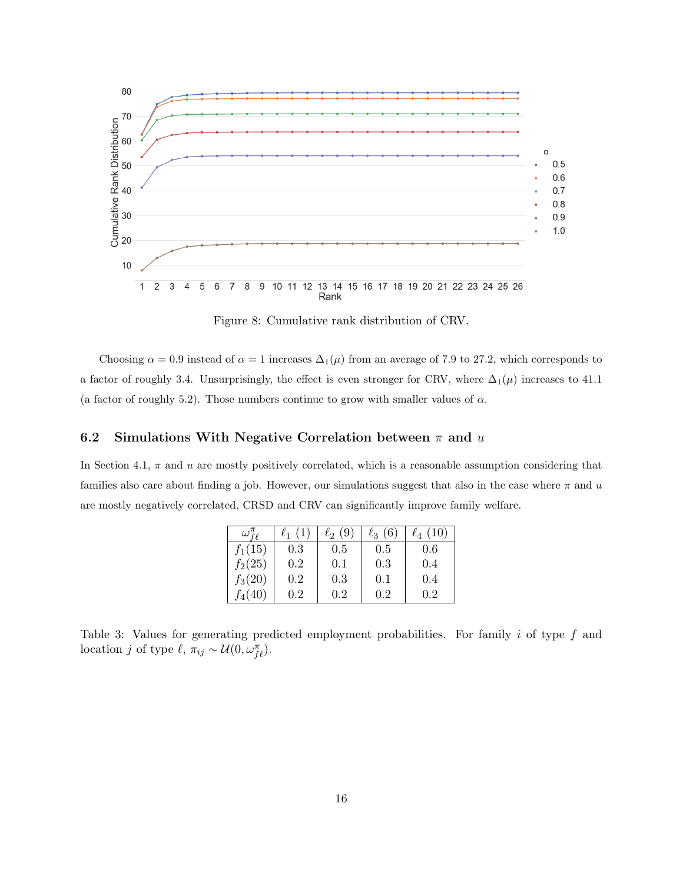

Figure 8: Cumulative rank distribution of CRV.

Choosing  $\alpha = 0.9$  instead of  $\alpha = 1$  increases  $\Delta_1(\mu)$  from an average of 7.9 to 27.2, which corresponds to a factor of roughly 3.4. Unsurprisingly, the effect is even stronger for CRV, where  $\Delta_1(\mu)$  increases to 41.1 (a factor of roughly 5.2). Those numbers continue to grow with smaller values of  $\alpha$ .

### 6.2 Simulations With Negative Correlation between  $\pi$  and u

In Section [4.1,](#page-8-2)  $\pi$  and  $u$  are mostly positively correlated, which is a reasonable assumption considering that families also care about finding a job. However, our simulations suggest that also in the case where  $\pi$  and u are mostly negatively correlated, CRSD and CRV can significantly improve family welfare.

| $\omega_{\texttt{{f}}\texttt{{\it o}}}$ | $\ell_1(1)$ | $\ell_2(9)$ | $\ell_3(6)$ | $\ell_4(10)$ |
|-----------------------------------------|-------------|-------------|-------------|--------------|
| $f_1(15)$                               | 0.3         | 0.5         | 0.5         | 0.6          |
| $f_2(25)$                               | 0.2         | 0.1         | 0.3         | 0.4          |
| $f_3(20)$                               | 0.2         | 0.3         | 0.1         | 0.4          |
| $f_4(40)$                               | 0.2         | 0.2         | $0.2\,$     | 0.2          |

Table 3: Values for generating predicted employment probabilities. For family i of type f and location j of type  $\ell, \pi_{ij} \sim \mathcal{U}(0, \omega_{f\ell}^{\pi}).$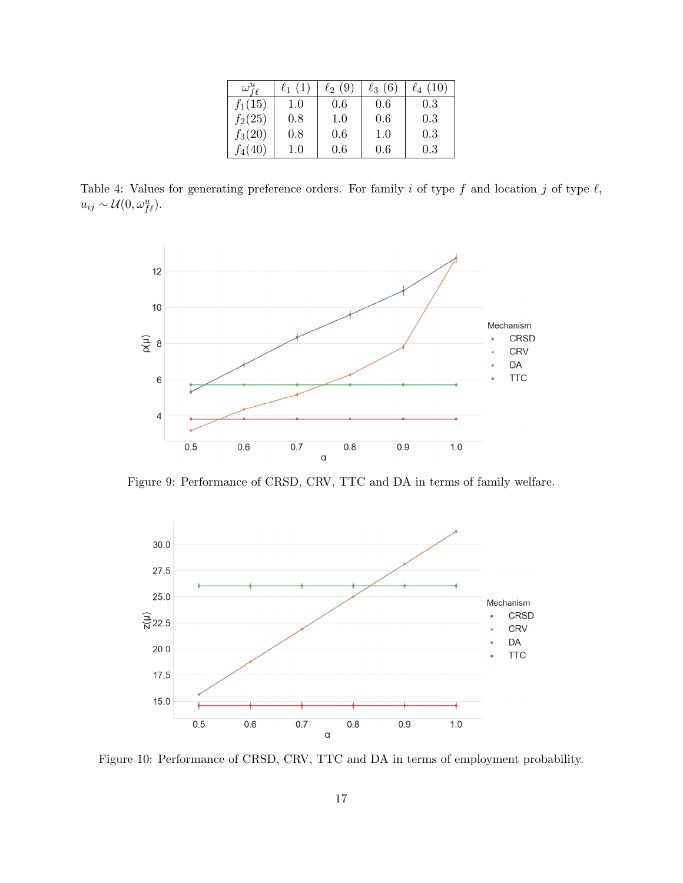| $\omega^u_{\scriptscriptstyle f \rho}$ | $\ell_1(1)$ | $\ell_2(9)$ | $\ell_3(6)$ | $\ell_4(10)$ |
|----------------------------------------|-------------|-------------|-------------|--------------|
| $f_1(15)$                              | 1.0         | 0.6         | 0.6         | 0.3          |
| $f_2(25)$                              | 0.8         | 1.0         | 0.6         | 0.3          |
| $f_3(20)$                              | 0.8         | 0.6         | 1.0         | 0.3          |
| $J_4(40)$                              | $1.0\,$     | 0.6         | 0.6         | 0.3          |

Table 4: Values for generating preference orders. For family i of type f and location j of type  $\ell$ ,  $u_{ij} \sim \mathcal{U}(0, \omega_{f\ell}^u).$ 



Figure 9: Performance of CRSD, CRV, TTC and DA in terms of family welfare.



Figure 10: Performance of CRSD, CRV, TTC and DA in terms of employment probability.